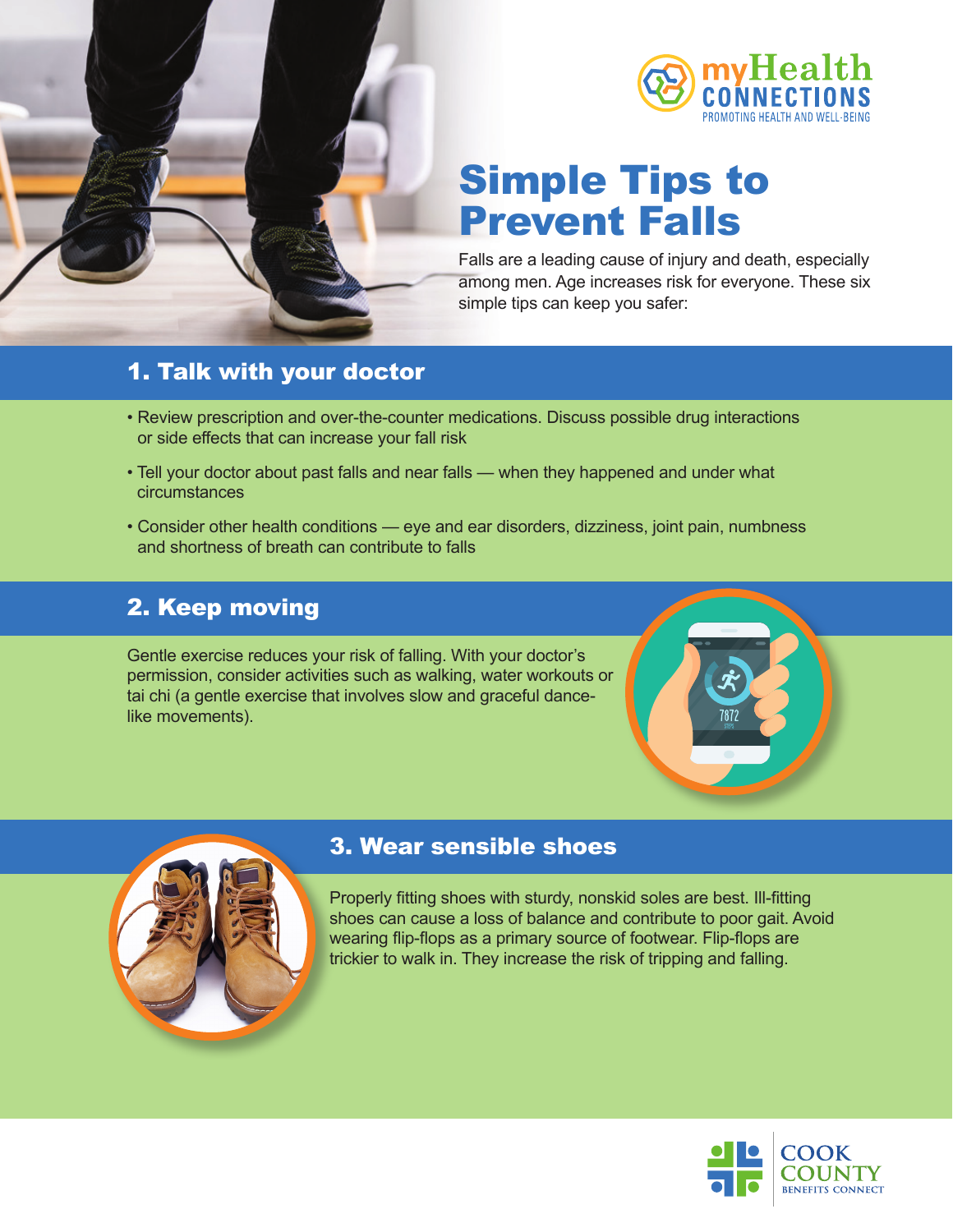

## Simple Tips to Prevent Falls

Falls are a leading cause of injury and death, especially among men. Age increases risk for everyone. These six simple tips can keep you safer:

### 1. Talk with your doctor

- Review prescription and over-the-counter medications. Discuss possible drug interactions or side effects that can increase your fall risk
- Tell your doctor about past falls and near falls when they happened and under what circumstances
- Consider other health conditions eye and ear disorders, dizziness, joint pain, numbness and shortness of breath can contribute to falls

### 2. Keep moving

Gentle exercise reduces your risk of falling. With your doctor's permission, consider activities such as walking, water workouts or tai chi (a gentle exercise that involves slow and graceful dancelike movements).

## 3. Wear sensible shoes

Properly fitting shoes with sturdy, nonskid soles are best. Ill-fitting shoes can cause a loss of balance and contribute to poor gait. Avoid wearing flip-flops as a primary source of footwear. Flip-flops are trickier to walk in. They increase the risk of tripping and falling.